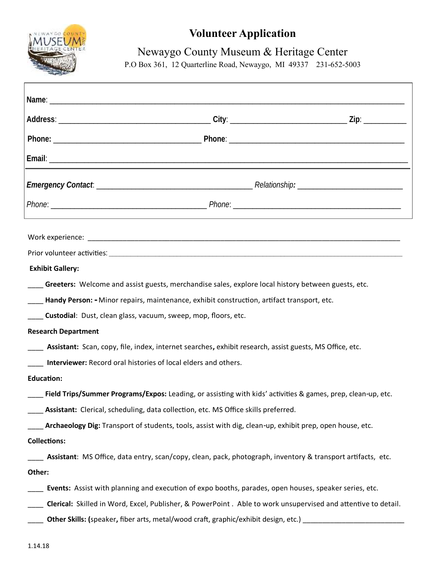

## **Volunteer Application**

## Newaygo County Museum & Heritage Center

P.O Box 361, 12 Quarterline Road, Newaygo, MI 49337 231-652-5003

| <b>Exhibit Gallery:</b>                                                                                  |                                                                                                               |  |  |  |  |  |
|----------------------------------------------------------------------------------------------------------|---------------------------------------------------------------------------------------------------------------|--|--|--|--|--|
|                                                                                                          | <b>Greeters:</b> Welcome and assist guests, merchandise sales, explore local history between guests, etc.     |  |  |  |  |  |
|                                                                                                          | Handy Person: - Minor repairs, maintenance, exhibit construction, artifact transport, etc.                    |  |  |  |  |  |
| Custodial: Dust, clean glass, vacuum, sweep, mop, floors, etc.                                           |                                                                                                               |  |  |  |  |  |
| <b>Research Department</b>                                                                               |                                                                                                               |  |  |  |  |  |
| Assistant: Scan, copy, file, index, internet searches, exhibit research, assist guests, MS Office, etc.  |                                                                                                               |  |  |  |  |  |
| Interviewer: Record oral histories of local elders and others.                                           |                                                                                                               |  |  |  |  |  |
| <b>Education:</b>                                                                                        |                                                                                                               |  |  |  |  |  |
|                                                                                                          | Field Trips/Summer Programs/Expos: Leading, or assisting with kids' activities & games, prep, clean-up, etc.  |  |  |  |  |  |
|                                                                                                          | Assistant: Clerical, scheduling, data collection, etc. MS Office skills preferred.                            |  |  |  |  |  |
| Archaeology Dig: Transport of students, tools, assist with dig, clean-up, exhibit prep, open house, etc. |                                                                                                               |  |  |  |  |  |
| <b>Collections:</b>                                                                                      |                                                                                                               |  |  |  |  |  |
|                                                                                                          | Assistant: MS Office, data entry, scan/copy, clean, pack, photograph, inventory & transport artifacts, etc.   |  |  |  |  |  |
| Other:                                                                                                   |                                                                                                               |  |  |  |  |  |
|                                                                                                          | Events: Assist with planning and execution of expo booths, parades, open houses, speaker series, etc.         |  |  |  |  |  |
|                                                                                                          | Clerical: Skilled in Word, Excel, Publisher, & PowerPoint. Able to work unsupervised and attentive to detail. |  |  |  |  |  |
|                                                                                                          | Other Skills: (speaker, fiber arts, metal/wood craft, graphic/exhibit design, etc.) __                        |  |  |  |  |  |